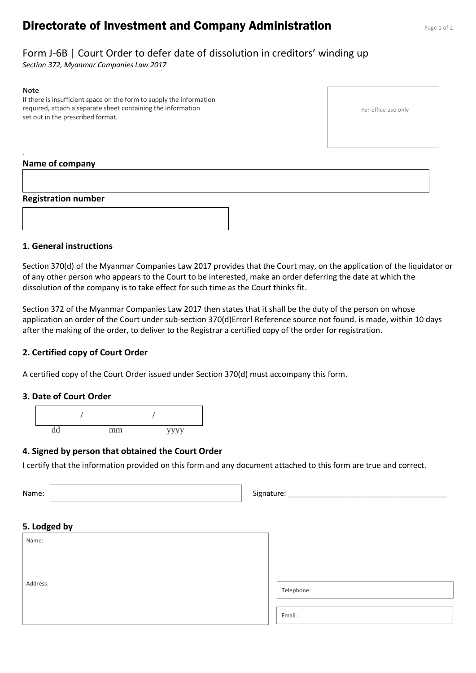# **Directorate of Investment and Company Administration** Page 1 of 2

# Form J-6B | Court Order to defer date of dissolution in creditors' winding up

*Section 372, Myanmar Companies Law 2017*

#### **Note**

.

If there is insufficient space on the form to supply the information required, attach a separate sheet containing the information set out in the prescribed format.

For office use only

#### **Name of company**

#### **Registration number**



#### **1. General instructions**

Section 370(d) of the Myanmar Companies Law 2017 provides that the Court may, on the application of the liquidator or of any other person who appears to the Court to be interested, make an order deferring the date at which the dissolution of the company is to take effect for such time as the Court thinks fit.

Section 372 of the Myanmar Companies Law 2017 then states that it shall be the duty of the person on whose application an order of the Court under sub-section 370(d)Error! Reference source not found. is made, within 10 days after the making of the order, to deliver to the Registrar a certified copy of the order for registration.

### **2. Certified copy of Court Order**

A certified copy of the Court Order issued under Section 370(d) must accompany this form.

#### **3. Date of Court Order**



#### **4. Signed by person that obtained the Court Order**

I certify that the information provided on this form and any document attached to this form are true and correct.

Name: Signature: \_\_\_\_\_\_\_\_\_\_\_\_\_\_\_\_\_\_\_\_\_\_\_\_\_\_\_\_\_\_\_\_\_\_\_\_\_\_\_\_ **5. Lodged by**

| Name:    |            |
|----------|------------|
|          |            |
| Address: |            |
|          | Telephone: |
|          |            |
|          | Email:     |